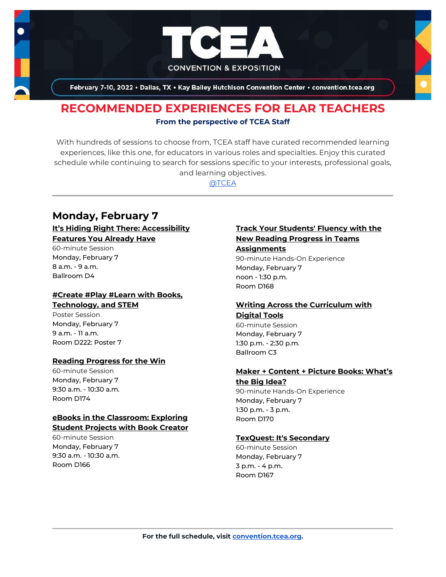

February 7-10, 2022 . Dallas, TX . Kay Bailey Hutchison Convention Center . convention.tcea.org

# **RECOMMENDED EXPERIENCES FOR ELAR TEACHERS From the perspective of TCEA Staff**

With hundreds of sessions to choose from, TCEA staff have curated recommended learning experiences, like this one, for educators in various roles and specialties. Enjoy this curated schedule while continuing to search for sessions specific to your interests, professional goals, and learning objectives.

[@TCEA](https://twitter.com/TCEA)

# **Monday, February 7**

#### **[It's Hiding Right There: Accessibility](https://register.tcea.org/2022/session_list.cfm?session_key=BF194A7C-F04D-A206-2B64-190955E99665&session_date=Monday,%20Feb%2007,%202022)  [Features You Already Have](https://register.tcea.org/2022/session_list.cfm?session_key=BF194A7C-F04D-A206-2B64-190955E99665&session_date=Monday,%20Feb%2007,%202022)**

60-minute Session Monday, February 7 8 a.m. - 9 a.m. Ballroom D4

#### **[#Create #Play #Learn with Books,](https://register.tcea.org/2022/session_list.cfm?session_key=628B672E-F04D-A206-2B64-5674DE5BA860&session_date=Monday,%20Feb%2007,%202022)  [Technology, and STEM](https://register.tcea.org/2022/session_list.cfm?session_key=628B672E-F04D-A206-2B64-5674DE5BA860&session_date=Monday,%20Feb%2007,%202022)**

Poster Session Monday, February 7 9 a.m. - 11 a.m. Room D222: Poster 7

#### **[Reading Progress for the Win](https://register.tcea.org/2022/session_list.cfm?session_key=023F5E2B-F04D-A206-2B64-88627EB4432E&session_date=Monday,%20Feb%2007,%202022)**

60-minute Session Monday, February 7 9:30 a.m. - 10:30 a.m. Room D174

#### **[eBooks in the Classroom: Exploring](https://register.tcea.org/2022/session_list.cfm?session_key=0236B6E6-F04D-A206-2B64-32BA8B81011C&session_date=Monday,%20Feb%2007,%202022)  [Student Projects with Book Creator](https://register.tcea.org/2022/session_list.cfm?session_key=0236B6E6-F04D-A206-2B64-32BA8B81011C&session_date=Monday,%20Feb%2007,%202022)**

60-minute Session Monday, February 7 9:30 a.m. - 10:30 a.m. Room D166

## **[Track Your Students' Fluency with the](https://register.tcea.org/2022/session_list.cfm?session_key=02437DA5-F04D-A206-2B64-0FD53A58216B&session_date=Monday,%20Feb%2007,%202022)  [New Reading Progress in Teams](https://register.tcea.org/2022/session_list.cfm?session_key=02437DA5-F04D-A206-2B64-0FD53A58216B&session_date=Monday,%20Feb%2007,%202022)  [Assignments](https://register.tcea.org/2022/session_list.cfm?session_key=02437DA5-F04D-A206-2B64-0FD53A58216B&session_date=Monday,%20Feb%2007,%202022)**

90-minute Hands-On Experience Monday, February 7 noon - 1:30 p.m. Room D168

#### **[Writing Across the Curriculum with](https://register.tcea.org/2022/session_list.cfm?session_key=02464766-F04D-A206-2B64-861511FE106A&session_date=Monday,%20Feb%2007,%202022)  [Digital Tools](https://register.tcea.org/2022/session_list.cfm?session_key=02464766-F04D-A206-2B64-861511FE106A&session_date=Monday,%20Feb%2007,%202022)**

60-minute Session Monday, February 7 1:30 p.m. - 2:30 p.m. Ballroom C3

#### **[Maker + Content + Picture Books: What's](https://register.tcea.org/2022/session_list.cfm?session_key=023D16C7-F04D-A206-2B64-BDB745E8BE8C&session_date=Monday,%20Feb%2007,%202022)  [the Big Idea?](https://register.tcea.org/2022/session_list.cfm?session_key=023D16C7-F04D-A206-2B64-BDB745E8BE8C&session_date=Monday,%20Feb%2007,%202022)**

90-minute Hands-On Experience Monday, February 7 1:30 p.m. - 3 p.m. Room D170

#### **[TexQuest: It's Secondary](https://register.tcea.org/2022/session_list.cfm?session_key=0242468E-F04D-A206-2B64-B92C5FB85845&session_date=Monday,%20Feb%2007,%202022)**

60-minute Session Monday, February 7 3 p.m. - 4 p.m. Room D167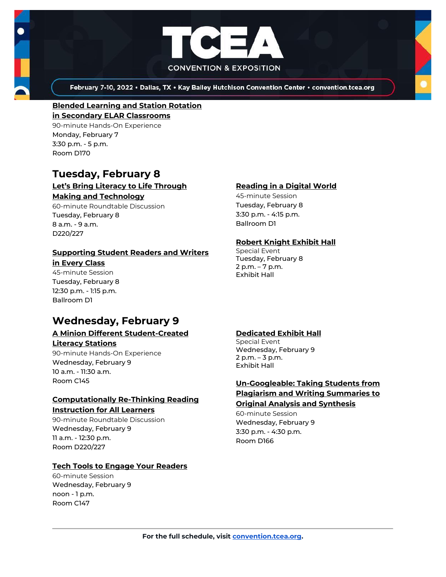



February 7-10, 2022 . Dallas, TX . Kay Bailey Hutchison Convention Center . convention.tcea.org

## **[Blended Learning and Station Rotation](https://register.tcea.org/2022/session_list.cfm?session_key=0231D30B-F04D-A206-2B64-8F66FA8F35A4&session_date=Monday,%20Feb%2007,%202022)**

**[in Secondary ELAR Classrooms](https://register.tcea.org/2022/session_list.cfm?session_key=0231D30B-F04D-A206-2B64-8F66FA8F35A4&session_date=Monday,%20Feb%2007,%202022)** 90-minute Hands-On Experience Monday, February 7 3:30 p.m. - 5 p.m. Room D170

# **Tuesday, February 8**

#### **[Let's Bring Literacy to Life Through](https://register.tcea.org/2022/session_list.cfm?session_key=C22522D7-F04D-A206-2B64-76E71CD3730B&session_date=Tuesday,%20Feb%2008,%202022)  [Making and Technology](https://register.tcea.org/2022/session_list.cfm?session_key=C22522D7-F04D-A206-2B64-76E71CD3730B&session_date=Tuesday,%20Feb%2008,%202022)**

60-minute Roundtable Discussion Tuesday, February 8 8 a.m. - 9 a.m. D220/227

# **[Supporting Student Readers and Writers](https://register.tcea.org/2022/session_list.cfm?session_key=CBC88EE5-F04D-A206-2B64-A6631F8C2BDF&session_date=Tuesday,%20Feb%2008,%202022)**

**[in Every Class](https://register.tcea.org/2022/session_list.cfm?session_key=CBC88EE5-F04D-A206-2B64-A6631F8C2BDF&session_date=Tuesday,%20Feb%2008,%202022)** 45-minute Session

Tuesday, February 8 12:30 p.m. - 1:15 p.m. Ballroom D1

# **Wednesday, February 9**

#### **[A Minion Different Student-Created](https://register.tcea.org/2022/session_list.cfm?session_key=02300714-F04D-A206-2B64-BCFDBEBAE941&session_date=Wednesday,%20Feb%2009,%202022)  [Literacy Stations](https://register.tcea.org/2022/session_list.cfm?session_key=02300714-F04D-A206-2B64-BCFDBEBAE941&session_date=Wednesday,%20Feb%2009,%202022)**

90-minute Hands-On Experience Wednesday, February 9 10 a.m. - 11:30 a.m. Room C145

#### **[Computationally Re-Thinking Reading](https://register.tcea.org/2022/session_list.cfm?session_key=0233C9CC-F04D-A206-2B64-4A71325E1410&session_date=Wednesday,%20Feb%2009,%202022)  [Instruction for All Learners](https://register.tcea.org/2022/session_list.cfm?session_key=0233C9CC-F04D-A206-2B64-4A71325E1410&session_date=Wednesday,%20Feb%2009,%202022)**

90-minute Roundtable Discussion Wednesday, February 9 11 a.m. - 12:30 p.m. Room D220/227

## **[Tech Tools to Engage Your Readers](https://register.tcea.org/2022/session_list.cfm?session_key=02422E1C-F04D-A206-2B64-7FF0E53D62D5&session_date=Wednesday,%20Feb%2009,%202022)**

60-minute Session Wednesday, February 9 noon - 1 p.m. Room C147

## **[Reading in a Digital World](https://register.tcea.org/2022/session_list.cfm?session_key=023F4E4A-F04D-A206-2B64-58DCCF482A34&session_date=Tuesday,%20Feb%2008,%202022)**

45-minute Session Tuesday, February 8 3:30 p.m. - 4:15 p.m. Ballroom D1

## **[Robert Knight Exhibit Hall](https://register.tcea.org/2022/session_list.cfm?session_key=61CDF249-F04D-A206-2B64-15D6559D2515&session_date=Tuesday,%20Feb%2008,%202022)**

Special Event Tuesday, February 8 2 p.m. – 7 p.m. Exhibit Hall

#### **[Dedicated Exhibit Hall](https://register.tcea.org/2022/session_list.cfm?session_key=61CDD8E6-F04D-A206-2B64-74AAAD8173D7&session_date=Wednesday,%20Feb%2009,%202022)**

Special Event Wednesday, February 9 2 p.m. – 3 p.m. Exhibit Hall

# **[Un-Googleable: Taking Students from](https://register.tcea.org/2022/session_list.cfm?session_key=0243D628-F04D-A206-2B64-5A19CEFCDA5E&session_date=Wednesday,%20Feb%2009,%202022)  [Plagiarism and Writing Summaries to](https://register.tcea.org/2022/session_list.cfm?session_key=0243D628-F04D-A206-2B64-5A19CEFCDA5E&session_date=Wednesday,%20Feb%2009,%202022)**

**[Original Analysis and Synthesis](https://register.tcea.org/2022/session_list.cfm?session_key=0243D628-F04D-A206-2B64-5A19CEFCDA5E&session_date=Wednesday,%20Feb%2009,%202022)** 60-minute Session

Wednesday, February 9 3:30 p.m. - 4:30 p.m. Room D166